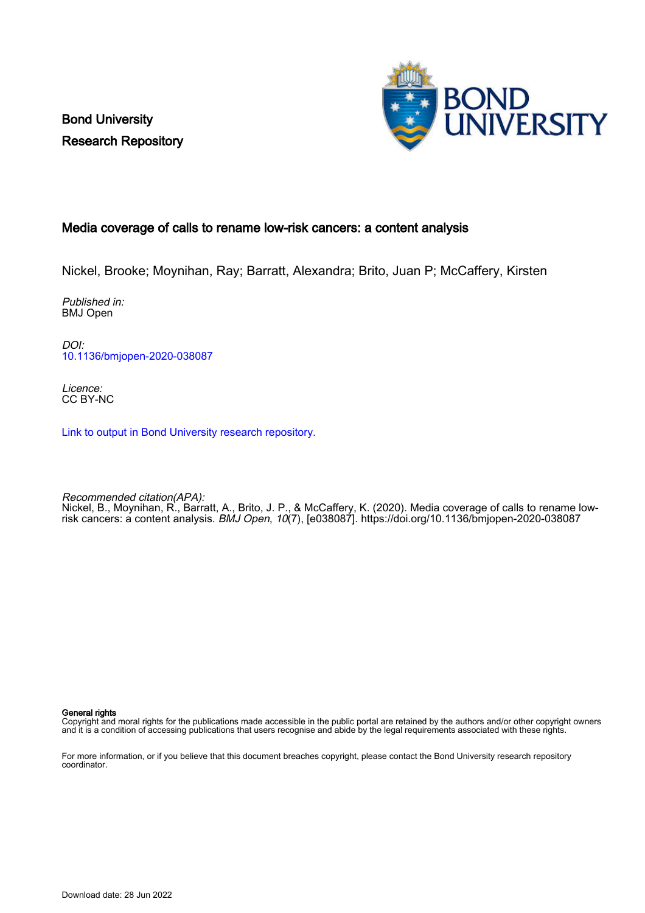Bond University Research Repository



# Media coverage of calls to rename low-risk cancers: a content analysis

Nickel, Brooke; Moynihan, Ray; Barratt, Alexandra; Brito, Juan P; McCaffery, Kirsten

Published in: BMJ Open

DOI: [10.1136/bmjopen-2020-038087](https://doi.org/10.1136/bmjopen-2020-038087)

Licence: CC BY-NC

[Link to output in Bond University research repository.](https://research.bond.edu.au/en/publications/bbfaead7-8697-4bcd-82e8-ac40dad18203)

Recommended citation(APA): Nickel, B., Moynihan, R., Barratt, A., Brito, J. P., & McCaffery, K. (2020). Media coverage of calls to rename lowrisk cancers: a content analysis. BMJ Open, 10(7), [e038087].<https://doi.org/10.1136/bmjopen-2020-038087>

General rights

Copyright and moral rights for the publications made accessible in the public portal are retained by the authors and/or other copyright owners and it is a condition of accessing publications that users recognise and abide by the legal requirements associated with these rights.

For more information, or if you believe that this document breaches copyright, please contact the Bond University research repository coordinator.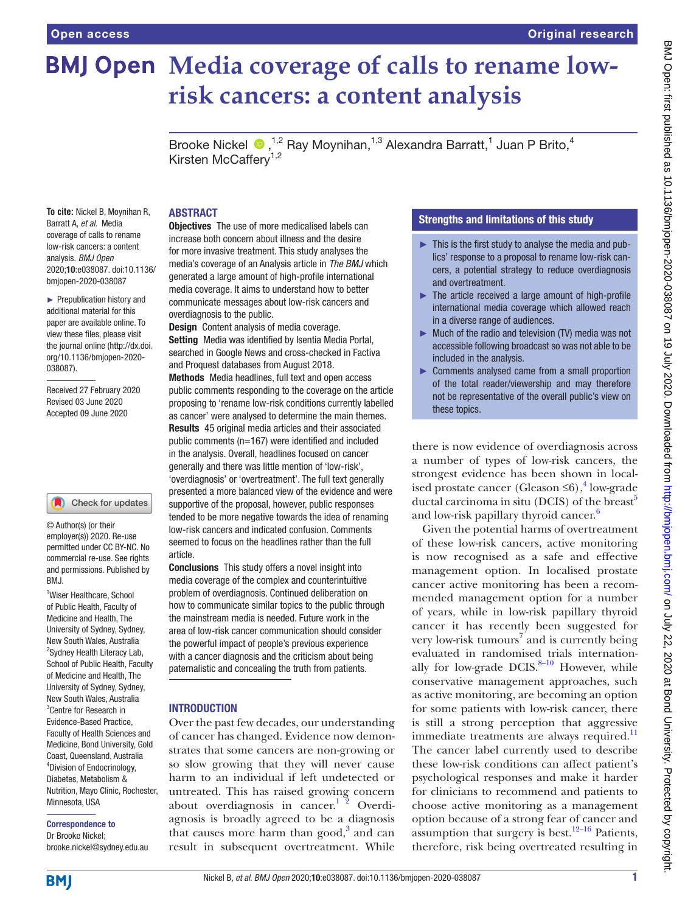# **BMJ Open Media coverage of calls to rename lowrisk cancers: a content analysis**

Brooke Nickel <sup>®</sup>,<sup>1,2</sup> Ray Moynihan,<sup>1,3</sup> Alexandra Barratt,<sup>1</sup> Juan P Brito,<sup>4</sup> Kirsten McCaffer $v^{1,2}$ 

#### **To cite:** Nickel B, Moynihan R, Barratt A, *et al*. Media coverage of calls to rename low-risk cancers: a content analysis. *BMJ Open* 2020;10:e038087. doi:10.1136/ bmjopen-2020-038087

► Prepublication history and additional material for this paper are available online. To view these files, please visit the journal online (http://dx.doi. org/10.1136/bmjopen-2020- 038087).

Received 27 February 2020 Revised 03 June 2020 Accepted 09 June 2020

### Check for updates

© Author(s) (or their employer(s)) 2020. Re-use permitted under CC BY-NC. No commercial re-use. See rights and permissions. Published by BMJ.

<sup>1</sup>Wiser Healthcare, School of Public Health, Faculty of Medicine and Health, The University of Sydney, Sydney, New South Wales, Australia <sup>2</sup>Sydney Health Literacy Lab, School of Public Health, Faculty of Medicine and Health, The University of Sydney, Sydney, New South Wales, Australia 3 Centre for Research in Evidence-Based Practice, Faculty of Health Sciences and Medicine, Bond University, Gold Coast, Queensland, Australia 4 Division of Endocrinology, Diabetes, Metabolism & Nutrition, Mayo Clinic, Rochester, Minnesota, USA

# Correspondence to

Dr Brooke Nickel; brooke.nickel@sydney.edu.au

# ABSTRACT

Objectives The use of more medicalised labels can increase both concern about illness and the desire for more invasive treatment. This study analyses the media's coverage of an Analysis article in *The BMJ* which generated a large amount of high-profile international media coverage. It aims to understand how to better communicate messages about low-risk cancers and overdiagnosis to the public.

Design Content analysis of media coverage. Setting Media was identified by Isentia Media Portal. searched in Google News and cross-checked in Factiva and Proquest databases from August 2018.

Methods Media headlines, full text and open access public comments responding to the coverage on the article proposing to 'rename low-risk conditions currently labelled as cancer' were analysed to determine the main themes. Results 45 original media articles and their associated public comments (n=167) were identified and included in the analysis. Overall, headlines focused on cancer generally and there was little mention of 'low-risk', 'overdiagnosis' or 'overtreatment'. The full text generally presented a more balanced view of the evidence and were supportive of the proposal, however, public responses tended to be more negative towards the idea of renaming low-risk cancers and indicated confusion. Comments seemed to focus on the headlines rather than the full article.

Conclusions This study offers a novel insight into media coverage of the complex and counterintuitive problem of overdiagnosis. Continued deliberation on how to communicate similar topics to the public through the mainstream media is needed. Future work in the area of low-risk cancer communication should consider the powerful impact of people's previous experience with a cancer diagnosis and the criticism about being paternalistic and concealing the truth from patients.

# INTRODUCTION

Over the past few decades, our understanding of cancer has changed. Evidence now demonstrates that some cancers are non-growing or so slow growing that they will never cause harm to an individual if left undetected or untreated. This has raised growing concern about overdiagnosis in cancer. $12$  Overdiagnosis is broadly agreed to be a diagnosis that causes more harm than  $\text{good},^3$  $\text{good},^3$  and can result in subsequent overtreatment. While

# Strengths and limitations of this study

- ► This is the first study to analyse the media and publics' response to a proposal to rename low-risk cancers, a potential strategy to reduce overdiagnosis and overtreatment.
- $\blacktriangleright$  The article received a large amount of high-profile international media coverage which allowed reach in a diverse range of audiences.
- ► Much of the radio and television (TV) media was not accessible following broadcast so was not able to be included in the analysis.
- ► Comments analysed came from a small proportion of the total reader/viewership and may therefore not be representative of the overall public's view on these topics.

there is now evidence of overdiagnosis across a number of types of low-risk cancers, the strongest evidence has been shown in local-ised prostate cancer (Gleason ≤6),<sup>[4](#page-6-2)</sup> low-grade ductal carcinoma in situ (DCIS) of the breast<sup>[5](#page-6-3)</sup> and low-risk papillary thyroid cancer.<sup>[6](#page-6-4)</sup>

Given the potential harms of overtreatment of these low-risk cancers, active monitoring is now recognised as a safe and effective management option. In localised prostate cancer active monitoring has been a recommended management option for a number of years, while in low-risk papillary thyroid cancer it has recently been suggested for very low-risk tumours<sup>[7](#page-6-5)</sup> and is currently being evaluated in randomised trials internationally for low-grade DCIS. $8-10$  However, while conservative management approaches, such as active monitoring, are becoming an option for some patients with low-risk cancer, there is still a strong perception that aggressive immediate treatments are always required.<sup>[11](#page-7-1)</sup> The cancer label currently used to describe these low-risk conditions can affect patient's psychological responses and make it harder for clinicians to recommend and patients to choose active monitoring as a management option because of a strong fear of cancer and assumption that surgery is best.<sup>[12–16](#page-7-2)</sup> Patients, therefore, risk being overtreated resulting in

**BMI**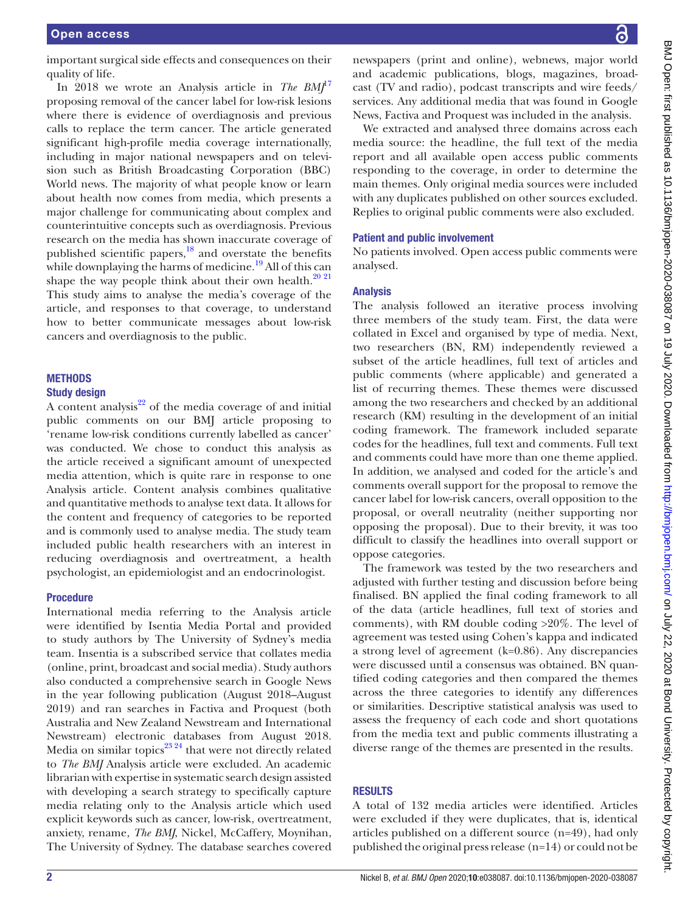important surgical side effects and consequences on their quality of life.

In 2018 we wrote an Analysis article in *The BM*<sup>[17](#page-7-3)</sup> proposing removal of the cancer label for low-risk lesions where there is evidence of overdiagnosis and previous calls to replace the term cancer. The article generated significant high-profile media coverage internationally, including in major national newspapers and on television such as British Broadcasting Corporation (BBC) World news. The majority of what people know or learn about health now comes from media, which presents a major challenge for communicating about complex and counterintuitive concepts such as overdiagnosis. Previous research on the media has shown inaccurate coverage of published scientific papers, $^{18}$  and overstate the benefits while downplaying the harms of medicine.<sup>19</sup> All of this can shape the way people think about their own health. $^{20\ 21}$ This study aims to analyse the media's coverage of the article, and responses to that coverage, to understand how to better communicate messages about low-risk cancers and overdiagnosis to the public.

# **METHODS**

## Study design

A content analysis $^{22}$  of the media coverage of and initial public comments on our BMJ article proposing to 'rename low-risk conditions currently labelled as cancer' was conducted. We chose to conduct this analysis as the article received a significant amount of unexpected media attention, which is quite rare in response to one Analysis article. Content analysis combines qualitative and quantitative methods to analyse text data. It allows for the content and frequency of categories to be reported and is commonly used to analyse media. The study team included public health researchers with an interest in reducing overdiagnosis and overtreatment, a health psychologist, an epidemiologist and an endocrinologist.

#### Procedure

International media referring to the Analysis article were identified by Isentia Media Portal and provided to study authors by The University of Sydney's media team. Insentia is a subscribed service that collates media (online, print, broadcast and social media). Study authors also conducted a comprehensive search in Google News in the year following publication (August 2018–August 2019) and ran searches in Factiva and Proquest (both Australia and New Zealand Newstream and International Newstream) electronic databases from August 2018. Media on similar topics $^{23\,24}$  that were not directly related to *The BMJ* Analysis article were excluded. An academic librarian with expertise in systematic search design assisted with developing a search strategy to specifically capture media relating only to the Analysis article which used explicit keywords such as cancer, low-risk, overtreatment, anxiety, rename, *The BMJ*, Nickel, McCaffery, Moynihan, The University of Sydney. The database searches covered

newspapers (print and online), webnews, major world and academic publications, blogs, magazines, broadcast (TV and radio), podcast transcripts and wire feeds/ services. Any additional media that was found in Google News, Factiva and Proquest was included in the analysis.

We extracted and analysed three domains across each media source: the headline, the full text of the media report and all available open access public comments responding to the coverage, in order to determine the main themes. Only original media sources were included with any duplicates published on other sources excluded. Replies to original public comments were also excluded.

#### Patient and public involvement

No patients involved. Open access public comments were analysed.

### Analysis

The analysis followed an iterative process involving three members of the study team. First, the data were collated in Excel and organised by type of media. Next, two researchers (BN, RM) independently reviewed a subset of the article headlines, full text of articles and public comments (where applicable) and generated a list of recurring themes. These themes were discussed among the two researchers and checked by an additional research (KM) resulting in the development of an initial coding framework. The framework included separate codes for the headlines, full text and comments. Full text and comments could have more than one theme applied. In addition, we analysed and coded for the article's and comments overall support for the proposal to remove the cancer label for low-risk cancers, overall opposition to the proposal, or overall neutrality (neither supporting nor opposing the proposal). Due to their brevity, it was too difficult to classify the headlines into overall support or oppose categories.

The framework was tested by the two researchers and adjusted with further testing and discussion before being finalised. BN applied the final coding framework to all of the data (article headlines, full text of stories and comments), with RM double coding >20%. The level of agreement was tested using Cohen's kappa and indicated a strong level of agreement (k=0.86). Any discrepancies were discussed until a consensus was obtained. BN quantified coding categories and then compared the themes across the three categories to identify any differences or similarities. Descriptive statistical analysis was used to assess the frequency of each code and short quotations from the media text and public comments illustrating a diverse range of the themes are presented in the results.

#### RESULTS

A total of 132 media articles were identified. Articles were excluded if they were duplicates, that is, identical articles published on a different source (n=49), had only published the original press release (n=14) or could not be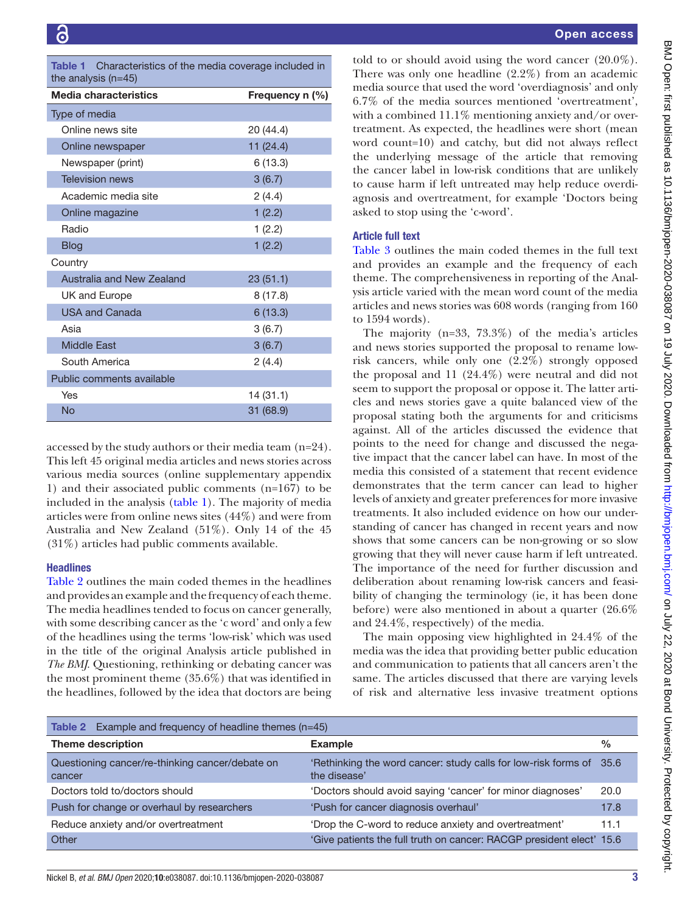<span id="page-3-0"></span>

| <b>Table 1</b> Characteristics of the media coverage included in |
|------------------------------------------------------------------|
| the analysis $(n=45)$                                            |

| $10$ iv and you $11$ iv $1$ |                 |  |  |  |
|-----------------------------|-----------------|--|--|--|
| Media characteristics       | Frequency n (%) |  |  |  |
| Type of media               |                 |  |  |  |
| Online news site            | 20 (44.4)       |  |  |  |
| Online newspaper            | 11 (24.4)       |  |  |  |
| Newspaper (print)           | 6(13.3)         |  |  |  |
| <b>Television news</b>      | 3(6.7)          |  |  |  |
| Academic media site         | 2(4.4)          |  |  |  |
| Online magazine             | 1(2.2)          |  |  |  |
| Radio                       | 1(2.2)          |  |  |  |
| <b>Blog</b>                 | 1(2.2)          |  |  |  |
| Country                     |                 |  |  |  |
| Australia and New Zealand   | 23(51.1)        |  |  |  |
| UK and Europe               | 8(17.8)         |  |  |  |
| <b>USA and Canada</b>       | 6(13.3)         |  |  |  |
| Asia                        | 3(6.7)          |  |  |  |
| <b>Middle East</b>          | 3(6.7)          |  |  |  |
| South America               | 2(4.4)          |  |  |  |
| Public comments available   |                 |  |  |  |
| Yes                         | 14 (31.1)       |  |  |  |
| <b>No</b>                   | 31 (68.9)       |  |  |  |

accessed by the study authors or their media team (n=24). This left 45 original media articles and news stories across various media sources [\(online supplementary appendix](https://dx.doi.org/10.1136/bmjopen-2020-038087) [1\)](https://dx.doi.org/10.1136/bmjopen-2020-038087) and their associated public comments (n=167) to be included in the analysis ([table](#page-3-0) 1). The majority of media articles were from online news sites (44%) and were from Australia and New Zealand (51%). Only 14 of the 45 (31%) articles had public comments available.

### **Headlines**

[Table](#page-3-1) 2 outlines the main coded themes in the headlines and provides an example and the frequency of each theme. The media headlines tended to focus on cancer generally, with some describing cancer as the 'c word' and only a few of the headlines using the terms 'low-risk' which was used in the title of the original Analysis article published in *The BMJ*. Questioning, rethinking or debating cancer was the most prominent theme (35.6%) that was identified in the headlines, followed by the idea that doctors are being

told to or should avoid using the word cancer (20.0%). There was only one headline (2.2%) from an academic media source that used the word 'overdiagnosis' and only 6.7% of the media sources mentioned 'overtreatment', with a combined 11.1% mentioning anxiety and/or overtreatment. As expected, the headlines were short (mean word count=10) and catchy, but did not always reflect the underlying message of the article that removing the cancer label in low-risk conditions that are unlikely to cause harm if left untreated may help reduce overdiagnosis and overtreatment, for example 'Doctors being asked to stop using the 'c-word'.

# Article full text

[Table](#page-4-0) 3 outlines the main coded themes in the full text and provides an example and the frequency of each theme. The comprehensiveness in reporting of the Analysis article varied with the mean word count of the media articles and news stories was 608 words (ranging from 160 to 1594 words).

The majority (n=33, 73.3%) of the media's articles and news stories supported the proposal to rename lowrisk cancers, while only one (2.2%) strongly opposed the proposal and 11 (24.4%) were neutral and did not seem to support the proposal or oppose it. The latter articles and news stories gave a quite balanced view of the proposal stating both the arguments for and criticisms against. All of the articles discussed the evidence that points to the need for change and discussed the negative impact that the cancer label can have. In most of the media this consisted of a statement that recent evidence demonstrates that the term cancer can lead to higher levels of anxiety and greater preferences for more invasive treatments. It also included evidence on how our understanding of cancer has changed in recent years and now shows that some cancers can be non-growing or so slow growing that they will never cause harm if left untreated. The importance of the need for further discussion and deliberation about renaming low-risk cancers and feasibility of changing the terminology (ie, it has been done before) were also mentioned in about a quarter (26.6% and 24.4%, respectively) of the media.

The main opposing view highlighted in 24.4% of the media was the idea that providing better public education and communication to patients that all cancers aren't the same. The articles discussed that there are varying levels of risk and alternative less invasive treatment options

<span id="page-3-1"></span>

| Table 2 Example and frequency of headline themes $(n=45)$ |                                                                                     |               |  |  |  |  |  |
|-----------------------------------------------------------|-------------------------------------------------------------------------------------|---------------|--|--|--|--|--|
| <b>Theme description</b>                                  | <b>Example</b>                                                                      | $\frac{0}{0}$ |  |  |  |  |  |
| Questioning cancer/re-thinking cancer/debate on<br>cancer | 'Rethinking the word cancer: study calls for low-risk forms of 35.6<br>the disease' |               |  |  |  |  |  |
| Doctors told to/doctors should                            | 'Doctors should avoid saying 'cancer' for minor diagnoses'                          | 20.0          |  |  |  |  |  |
| Push for change or overhaul by researchers                | 'Push for cancer diagnosis overhaul'                                                | 17.8          |  |  |  |  |  |
| Reduce anxiety and/or overtreatment                       | 'Drop the C-word to reduce anxiety and overtreatment'                               | 11.1          |  |  |  |  |  |
| Other                                                     | 'Give patients the full truth on cancer: RACGP president elect' 15.6                |               |  |  |  |  |  |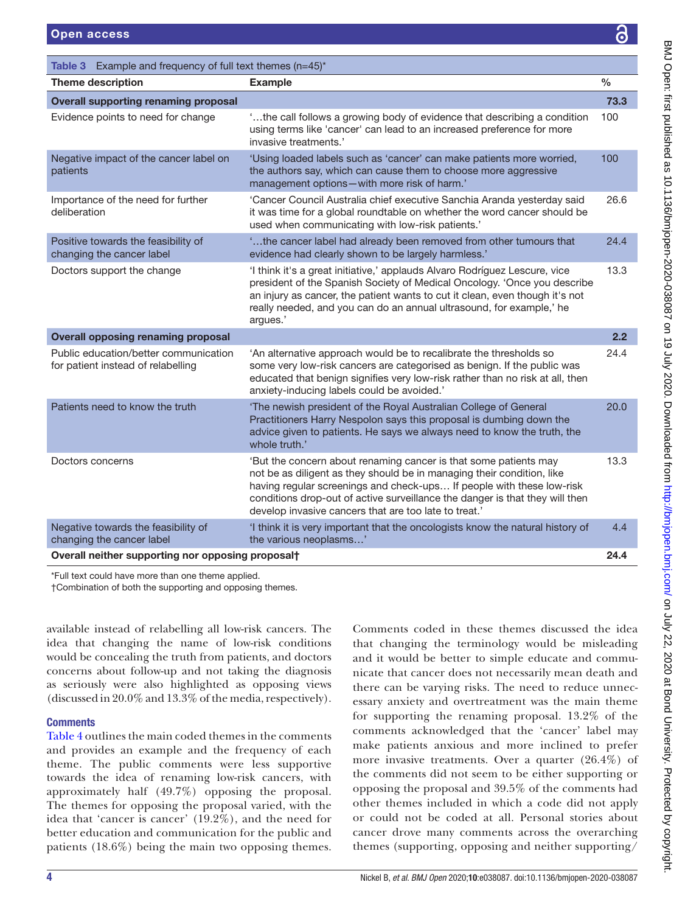<span id="page-4-0"></span>

| <b>Open access</b>                                                |                                                                                                                                                                                                                                                                                                                            | င်                   |
|-------------------------------------------------------------------|----------------------------------------------------------------------------------------------------------------------------------------------------------------------------------------------------------------------------------------------------------------------------------------------------------------------------|----------------------|
| Table 3 Example and frequency of full text themes $(n=45)^*$      |                                                                                                                                                                                                                                                                                                                            |                      |
| <b>Theme description</b>                                          | <b>Example</b>                                                                                                                                                                                                                                                                                                             | $\frac{0}{0}$        |
| <b>Overall supporting renaming proposal</b>                       |                                                                                                                                                                                                                                                                                                                            | 73.3                 |
| Evidence points to need for change                                | 'the call follows a growing body of evidence that describing a condition<br>using terms like 'cancer' can lead to an increased preference for more<br>invasive treatments.'                                                                                                                                                | 100                  |
| Negative impact of the cancer label on<br>patients                | 'Using loaded labels such as 'cancer' can make patients more worried,<br>the authors say, which can cause them to choose more aggressive<br>management options-with more risk of harm.'                                                                                                                                    | 100                  |
| Importance of the need for further<br>deliberation                | 'Cancer Council Australia chief executive Sanchia Aranda yesterday said<br>it was time for a global roundtable on whether the word cancer should be<br>used when communicating with low-risk patients.'                                                                                                                    | 26.6                 |
| Positive towards the feasibility of<br>changing the cancer label  | the cancer label had already been removed from other tumours that<br>evidence had clearly shown to be largely harmless.'                                                                                                                                                                                                   | 24.4                 |
| Doctors support the change                                        | 'I think it's a great initiative,' applauds Alvaro Rodríguez Lescure, vice<br>president of the Spanish Society of Medical Oncology. 'Once you describe<br>an injury as cancer, the patient wants to cut it clean, even though it's not<br>really needed, and you can do an annual ultrasound, for example,' he<br>argues.' | 13.3                 |
| <b>Overall opposing renaming proposal</b>                         |                                                                                                                                                                                                                                                                                                                            | 2.2                  |
| Production of the continue the continue of concerns the continues | <b>CA</b> and the measure of the company of the second of the second of the second of the contract of the contract of                                                                                                                                                                                                      | $\sim$ $\sim$ $\sim$ |

| Overall neither supporting nor opposing proposalt                           |                                                                                                                                                                                                                                                                                                                                                              |      |
|-----------------------------------------------------------------------------|--------------------------------------------------------------------------------------------------------------------------------------------------------------------------------------------------------------------------------------------------------------------------------------------------------------------------------------------------------------|------|
| Negative towards the feasibility of<br>changing the cancer label            | I think it is very important that the oncologists know the natural history of<br>the various neoplasms'                                                                                                                                                                                                                                                      | 4.4  |
| Doctors concerns                                                            | 'But the concern about renaming cancer is that some patients may<br>not be as diligent as they should be in managing their condition, like<br>having regular screenings and check-ups If people with these low-risk<br>conditions drop-out of active surveillance the danger is that they will then<br>develop invasive cancers that are too late to treat.' | 13.3 |
| Patients need to know the truth                                             | 'The newish president of the Royal Australian College of General<br>Practitioners Harry Nespolon says this proposal is dumbing down the<br>advice given to patients. He says we always need to know the truth, the<br>whole truth.'                                                                                                                          | 20.0 |
| Public education/better communication<br>for patient instead of relabelling | 'An alternative approach would be to recalibrate the thresholds so<br>some very low-risk cancers are categorised as benign. If the public was<br>educated that benign signifies very low-risk rather than no risk at all, then<br>anxiety-inducing labels could be avoided.'                                                                                 | 24.4 |

\*Full text could have more than one theme applied.

†Combination of both the supporting and opposing themes.

available instead of relabelling all low-risk cancers. The idea that changing the name of low-risk conditions would be concealing the truth from patients, and doctors concerns about follow-up and not taking the diagnosis as seriously were also highlighted as opposing views (discussed in 20.0% and 13.3% of the media, respectively).

# **Comments**

[Table](#page-5-0) 4 outlines the main coded themes in the comments and provides an example and the frequency of each theme. The public comments were less supportive towards the idea of renaming low-risk cancers, with approximately half (49.7%) opposing the proposal. The themes for opposing the proposal varied, with the idea that 'cancer is cancer' (19.2%), and the need for better education and communication for the public and patients (18.6%) being the main two opposing themes.

Comments coded in these themes discussed the idea that changing the terminology would be misleading and it would be better to simple educate and communicate that cancer does not necessarily mean death and there can be varying risks. The need to reduce unnecessary anxiety and overtreatment was the main theme for supporting the renaming proposal. 13.2% of the comments acknowledged that the 'cancer' label may make patients anxious and more inclined to prefer more invasive treatments. Over a quarter (26.4%) of the comments did not seem to be either supporting or opposing the proposal and 39.5% of the comments had other themes included in which a code did not apply or could not be coded at all. Personal stories about cancer drove many comments across the overarching themes (supporting, opposing and neither supporting/

26.6

24.4

13.3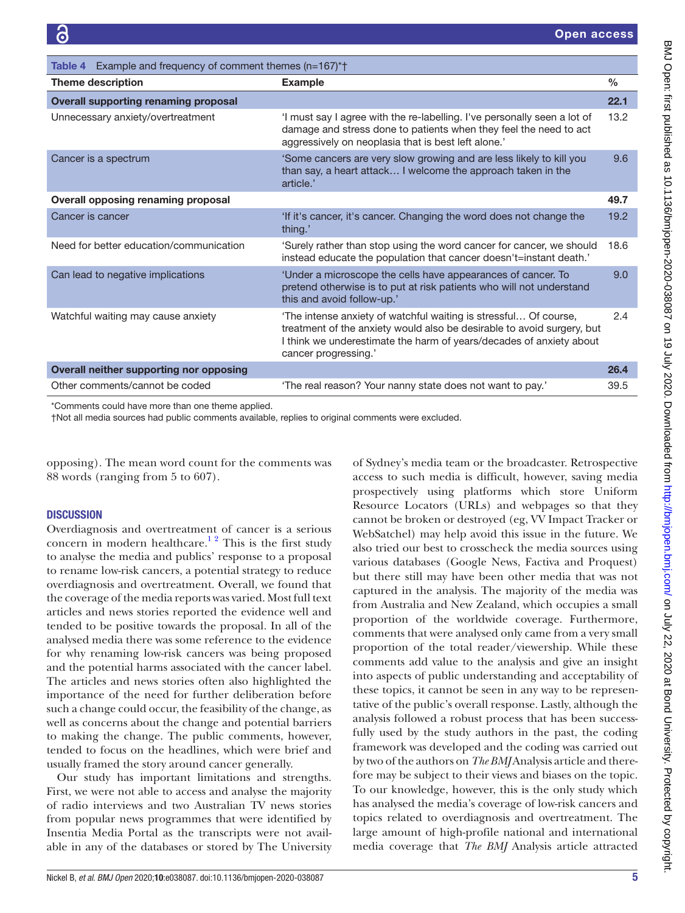<span id="page-5-0"></span>

| Example and frequency of comment themes (n=167)*+<br>Table 4                                                                                                                                                                                                                    |     |  |  |  |
|---------------------------------------------------------------------------------------------------------------------------------------------------------------------------------------------------------------------------------------------------------------------------------|-----|--|--|--|
| $\frac{0}{0}$<br><b>Theme description</b><br><b>Example</b>                                                                                                                                                                                                                     |     |  |  |  |
| <b>Overall supporting renaming proposal</b>                                                                                                                                                                                                                                     |     |  |  |  |
| 13.2 <sup>2</sup><br>Unnecessary anxiety/overtreatment<br>'I must say I agree with the re-labelling. I've personally seen a lot of<br>damage and stress done to patients when they feel the need to act<br>aggressively on neoplasia that is best left alone.'                  |     |  |  |  |
| Cancer is a spectrum<br>'Some cancers are very slow growing and are less likely to kill you<br>than say, a heart attack I welcome the approach taken in the<br>article.'                                                                                                        | 9.6 |  |  |  |
| Overall opposing renaming proposal                                                                                                                                                                                                                                              |     |  |  |  |
| Cancer is cancer<br>'If it's cancer, it's cancer. Changing the word does not change the<br>19.2<br>thing.'                                                                                                                                                                      |     |  |  |  |
| Need for better education/communication<br>'Surely rather than stop using the word cancer for cancer, we should<br>18.6<br>instead educate the population that cancer doesn't=instant death.'                                                                                   |     |  |  |  |
| Can lead to negative implications<br>'Under a microscope the cells have appearances of cancer. To<br>pretend otherwise is to put at risk patients who will not understand<br>this and avoid follow-up.'                                                                         | 9.0 |  |  |  |
| 'The intense anxiety of watchful waiting is stressful Of course,<br>Watchful waiting may cause anxiety<br>treatment of the anxiety would also be desirable to avoid surgery, but<br>I think we underestimate the harm of years/decades of anxiety about<br>cancer progressing.' | 2.4 |  |  |  |
| Overall neither supporting nor opposing<br>26.4                                                                                                                                                                                                                                 |     |  |  |  |
| Other comments/cannot be coded<br>'The real reason? Your nanny state does not want to pay.'<br>39.5                                                                                                                                                                             |     |  |  |  |

\*Comments could have more than one theme applied.

†Not all media sources had public comments available, replies to original comments were excluded.

opposing). The mean word count for the comments was 88 words (ranging from 5 to 607).

# **DISCUSSION**

Overdiagnosis and overtreatment of cancer is a serious concern in modern healthcare.<sup>12</sup> This is the first study to analyse the media and publics' response to a proposal to rename low-risk cancers, a potential strategy to reduce overdiagnosis and overtreatment. Overall, we found that the coverage of the media reports was varied. Most full text articles and news stories reported the evidence well and tended to be positive towards the proposal. In all of the analysed media there was some reference to the evidence for why renaming low-risk cancers was being proposed and the potential harms associated with the cancer label. The articles and news stories often also highlighted the importance of the need for further deliberation before such a change could occur, the feasibility of the change, as well as concerns about the change and potential barriers to making the change. The public comments, however, tended to focus on the headlines, which were brief and usually framed the story around cancer generally.

Our study has important limitations and strengths. First, we were not able to access and analyse the majority of radio interviews and two Australian TV news stories from popular news programmes that were identified by Insentia Media Portal as the transcripts were not available in any of the databases or stored by The University

Nickel B, *et al*. *BMJ Open* 2020;10:e038087. doi:10.1136/bmjopen-2020-038087 5

of Sydney's media team or the broadcaster. Retrospective access to such media is difficult, however, saving media prospectively using platforms which store Uniform Resource Locators (URLs) and webpages so that they cannot be broken or destroyed (eg, VV Impact Tracker or WebSatchel) may help avoid this issue in the future. We also tried our best to crosscheck the media sources using various databases (Google News, Factiva and Proquest) but there still may have been other media that was not captured in the analysis. The majority of the media was from Australia and New Zealand, which occupies a small proportion of the worldwide coverage. Furthermore, comments that were analysed only came from a very small proportion of the total reader/viewership. While these comments add value to the analysis and give an insight into aspects of public understanding and acceptability of these topics, it cannot be seen in any way to be representative of the public's overall response. Lastly, although the analysis followed a robust process that has been successfully used by the study authors in the past, the coding framework was developed and the coding was carried out by two of the authors on *The BMJ* Analysis article and therefore may be subject to their views and biases on the topic. To our knowledge, however, this is the only study which has analysed the media's coverage of low-risk cancers and topics related to overdiagnosis and overtreatment. The large amount of high-profile national and international media coverage that *The BMJ* Analysis article attracted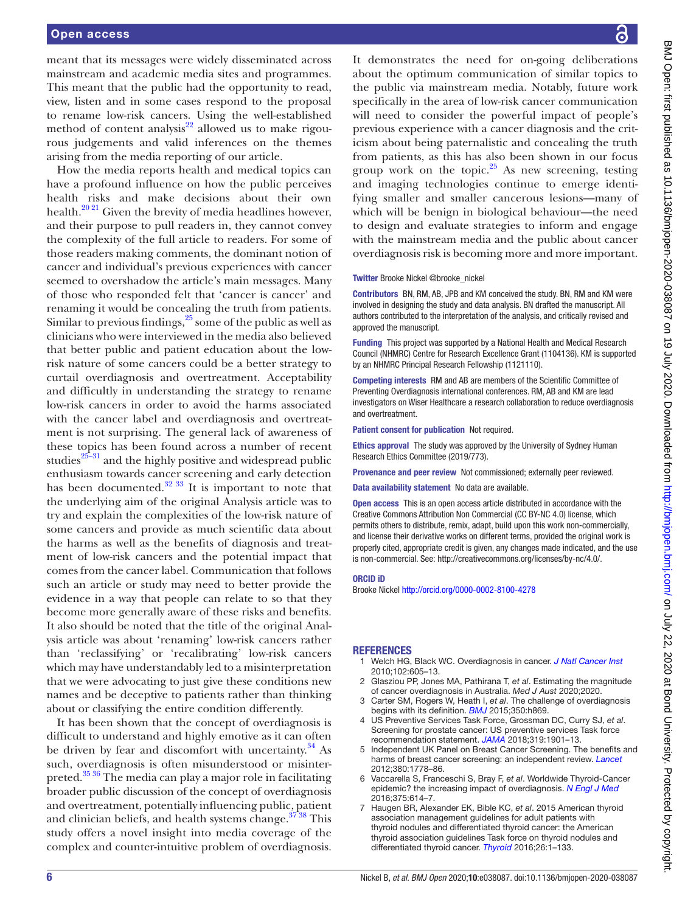meant that its messages were widely disseminated across mainstream and academic media sites and programmes. This meant that the public had the opportunity to read, view, listen and in some cases respond to the proposal to rename low-risk cancers. Using the well-established method of content analysis $22$  allowed us to make rigourous judgements and valid inferences on the themes arising from the media reporting of our article.

How the media reports health and medical topics can have a profound influence on how the public perceives health risks and make decisions about their own health.<sup>[20 21](#page-7-6)</sup> Given the brevity of media headlines however, and their purpose to pull readers in, they cannot convey the complexity of the full article to readers. For some of those readers making comments, the dominant notion of cancer and individual's previous experiences with cancer seemed to overshadow the article's main messages. Many of those who responded felt that 'cancer is cancer' and renaming it would be concealing the truth from patients. Similar to previous findings,  $25$  some of the public as well as clinicians who were interviewed in the media also believed that better public and patient education about the lowrisk nature of some cancers could be a better strategy to curtail overdiagnosis and overtreatment. Acceptability and difficultly in understanding the strategy to rename low-risk cancers in order to avoid the harms associated with the cancer label and overdiagnosis and overtreatment is not surprising. The general lack of awareness of these topics has been found across a number of recent studies $25-31$  and the highly positive and widespread public enthusiasm towards cancer screening and early detection has been documented. $32 \frac{33}{11}$  It is important to note that the underlying aim of the original Analysis article was to try and explain the complexities of the low-risk nature of some cancers and provide as much scientific data about the harms as well as the benefits of diagnosis and treatment of low-risk cancers and the potential impact that comes from the cancer label. Communication that follows such an article or study may need to better provide the evidence in a way that people can relate to so that they become more generally aware of these risks and benefits. It also should be noted that the title of the original Analysis article was about 'renaming' low-risk cancers rather than 'reclassifying' or 'recalibrating' low-risk cancers which may have understandably led to a misinterpretation that we were advocating to just give these conditions new names and be deceptive to patients rather than thinking about or classifying the entire condition differently.

It has been shown that the concept of overdiagnosis is difficult to understand and highly emotive as it can often be driven by fear and discomfort with uncertainty. $34$  As such, overdiagnosis is often misunderstood or misinterpreted.<sup>35</sup> 36 The media can play a major role in facilitating broader public discussion of the concept of overdiagnosis and overtreatment, potentially influencing public, patient and clinician beliefs, and health systems change.<sup>37</sup> 38</sup> This study offers a novel insight into media coverage of the complex and counter-intuitive problem of overdiagnosis.

It demonstrates the need for on-going deliberations about the optimum communication of similar topics to the public via mainstream media. Notably, future work specifically in the area of low-risk cancer communication will need to consider the powerful impact of people's previous experience with a cancer diagnosis and the criticism about being paternalistic and concealing the truth from patients, as this has also been shown in our focus group work on the topic. $25$  As new screening, testing and imaging technologies continue to emerge identifying smaller and smaller cancerous lesions—many of which will be benign in biological behaviour—the need to design and evaluate strategies to inform and engage with the mainstream media and the public about cancer overdiagnosis risk is becoming more and more important.

#### Twitter Brooke Nickel [@brooke\\_nickel](https://twitter.com/brooke_nickel)

Contributors BN, RM, AB, JPB and KM conceived the study. BN, RM and KM were involved in designing the study and data analysis. BN drafted the manuscript. All authors contributed to the interpretation of the analysis, and critically revised and approved the manuscript.

Funding This project was supported by a National Health and Medical Research Council (NHMRC) Centre for Research Excellence Grant (1104136). KM is supported by an NHMRC Principal Research Fellowship (1121110).

Competing interests RM and AB are members of the Scientific Committee of Preventing Overdiagnosis international conferences. RM, AB and KM are lead investigators on Wiser Healthcare a research collaboration to reduce overdiagnosis and overtreatment.

Patient consent for publication Not required.

Ethics approval The study was approved by the University of Sydney Human Research Ethics Committee (2019/773).

Provenance and peer review Not commissioned; externally peer reviewed.

Data availability statement No data are available.

Open access This is an open access article distributed in accordance with the Creative Commons Attribution Non Commercial (CC BY-NC 4.0) license, which permits others to distribute, remix, adapt, build upon this work non-commercially, and license their derivative works on different terms, provided the original work is properly cited, appropriate credit is given, any changes made indicated, and the use is non-commercial. See: [http://creativecommons.org/licenses/by-nc/4.0/.](http://creativecommons.org/licenses/by-nc/4.0/)

#### ORCID iD

Brooke Nickel <http://orcid.org/0000-0002-8100-4278>

#### <span id="page-6-0"></span>REFERENCES

- 1 Welch HG, Black WC. Overdiagnosis in cancer. *[J Natl Cancer Inst](http://dx.doi.org/10.1093/jnci/djq099)* 2010;102:605–13.
- 2 Glasziou PP, Jones MA, Pathirana T, *et al*. Estimating the magnitude of cancer overdiagnosis in Australia. *Med J Aust* 2020;2020.
- <span id="page-6-1"></span>Carter SM, Rogers W, Heath I, *et al*. The challenge of overdiagnosis begins with its definition. *[BMJ](http://dx.doi.org/10.1136/bmj.h869)* 2015;350:h869.
- <span id="page-6-2"></span>4 US Preventive Services Task Force, Grossman DC, Curry SJ, *et al*. Screening for prostate cancer: US preventive services Task force recommendation statement. *[JAMA](http://dx.doi.org/10.1001/jama.2018.3710)* 2018;319:1901–13.
- <span id="page-6-3"></span>5 Independent UK Panel on Breast Cancer Screening. The benefits and harms of breast cancer screening: an independent review. *[Lancet](http://dx.doi.org/10.1016/S0140-6736(12)61611-0)* 2012;380:1778–86.
- <span id="page-6-4"></span>6 Vaccarella S, Franceschi S, Bray F, *et al*. Worldwide Thyroid-Cancer epidemic? the increasing impact of overdiagnosis. *[N Engl J Med](http://dx.doi.org/10.1056/NEJMp1604412)* 2016;375:614–7.
- <span id="page-6-5"></span>7 Haugen BR, Alexander EK, Bible KC, *et al*. 2015 American thyroid association management guidelines for adult patients with thyroid nodules and differentiated thyroid cancer: the American thyroid association guidelines Task force on thyroid nodules and differentiated thyroid cancer. *[Thyroid](http://dx.doi.org/10.1089/thy.2015.0020)* 2016;26:1–133.